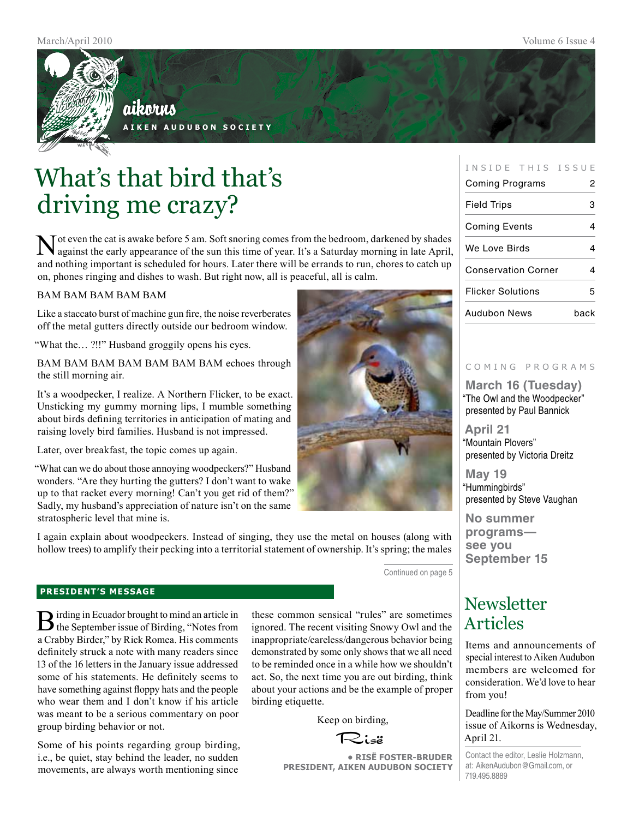

aikorus **A i k e n A u d u b o n S o c i e t y**

What's that bird that's driving me crazy?

Tot even the cat is awake before 5 am. Soft snoring comes from the bedroom, darkened by shades against the early appearance of the sun this time of year. It's a Saturday morning in late April, and nothing important is scheduled for hours. Later there will be errands to run, chores to catch up on, phones ringing and dishes to wash. But right now, all is peaceful, all is calm.

#### BAM BAM BAM BAM BAM

Like a staccato burst of machine gun fire, the noise reverberates off the metal gutters directly outside our bedroom window.

"What the… ?!!" Husband groggily opens his eyes.

BAM BAM BAM BAM BAM BAM BAM echoes through the still morning air.

It's a woodpecker, I realize. A Northern Flicker, to be exact. Unsticking my gummy morning lips, I mumble something about birds defining territories in anticipation of mating and raising lovely bird families. Husband is not impressed.

Later, over breakfast, the topic comes up again.

"What can we do about those annoying woodpeckers?" Husband wonders. "Are they hurting the gutters? I don't want to wake up to that racket every morning! Can't you get rid of them?" Sadly, my husband's appreciation of nature isn't on the same stratospheric level that mine is.

I again explain about woodpeckers. Instead of singing, they use the metal on houses (along with hollow trees) to amplify their pecking into a territorial statement of ownership. It's spring; the males

Continued on page 5

#### **president's message**

**B** irding in Ecuador brought to mind an article in the September issue of Birding, "Notes from a Crabby Birder," by Rick Romea. His comments definitely struck a note with many readers since 13 of the 16 letters in the January issue addressed some of his statements. He definitely seems to have something against floppy hats and the people who wear them and I don't know if his article was meant to be a serious commentary on poor group birding behavior or not.

Some of his points regarding group birding, i.e., be quiet, stay behind the leader, no sudden movements, are always worth mentioning since

these common sensical "rules" are sometimes ignored. The recent visiting Snowy Owl and the inappropriate/careless/dangerous behavior being demonstrated by some only shows that we all need to be reminded once in a while how we shouldn't act. So, the next time you are out birding, think about your actions and be the example of proper birding etiquette.

Keep on birding,

Risë

**• RisË Foster-Bruder President, Aiken Audubon Society**

#### INSIDE THIS ISSUE

| Coming Programs            | 2    |
|----------------------------|------|
| <b>Field Trips</b>         | 3    |
| <b>Coming Events</b>       |      |
| We Love Birds              |      |
| <b>Conservation Corner</b> |      |
| <b>Flicker Solutions</b>   |      |
| Audubon News               | back |

#### c o m i n g p r o g r a m s

**March 16 (Tuesday)** "The Owl and the Woodpecker" presented by Paul Bannick

**April 21** "Mountain Plovers" presented by Victoria Dreitz

**May 19** "Hummingbirds" presented by Steve Vaughan

**No summer programs see you September 15**

### **Newsletter** Articles

Items and announcements of special interest to Aiken Audubon members are welcomed for consideration. We'd love to hear from you!

Deadline for the May/Summer 2010 issue of Aikorns is Wednesday, April 21.

Contact the editor, Leslie Holzmann, at: AikenAudubon@Gmail.com, or 719.495.8889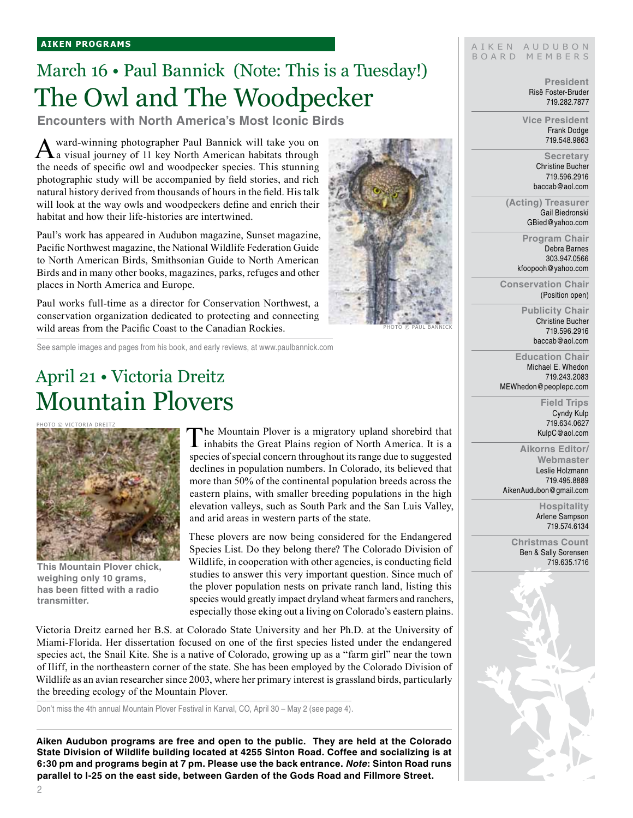## March 16 • Paul Bannick (Note: This is a Tuesday!) The Owl and The Woodpecker

**Encounters with North America's Most Iconic Birds**

Award-winning photographer Paul Bannick will take you on a visual journey of 11 key North American habitats through the needs of specific owl and woodpecker species. This stunning photographic study will be accompanied by field stories, and rich natural history derived from thousands of hours in the field. His talk will look at the way owls and woodpeckers define and enrich their habitat and how their life-histories are intertwined.

Paul's work has appeared in Audubon magazine, Sunset magazine, Pacific Northwest magazine, the National Wildlife Federation Guide to North American Birds, Smithsonian Guide to North American Birds and in many other books, magazines, parks, refuges and other places in North America and Europe.

Paul works full-time as a director for Conservation Northwest, a conservation organization dedicated to protecting and connecting wild areas from the Pacific Coast to the Canadian Rockies.

See sample images and pages from his book, and early reviews, at www.paulbannick.com

## April 21 • Victoria Dreitz Mountain Plovers

Photo © victoria dreitz



**This Mountain Plover chick, weighing only 10 grams, has been fitted with a radio transmitter.**

The Mountain Plover is a migratory upland shorebird that inhabits the Great Plains region of North America. It is a species of special concern throughout its range due to suggested declines in population numbers. In Colorado, its believed that more than 50% of the continental population breeds across the eastern plains, with smaller breeding populations in the high elevation valleys, such as South Park and the San Luis Valley, and arid areas in western parts of the state.

These plovers are now being considered for the Endangered Species List. Do they belong there? The Colorado Division of Wildlife, in cooperation with other agencies, is conducting field studies to answer this very important question. Since much of the plover population nests on private ranch land, listing this species would greatly impact dryland wheat farmers and ranchers, especially those eking out a living on Colorado's eastern plains.

Victoria Dreitz earned her B.S. at Colorado State University and her Ph.D. at the University of Miami-Florida. Her dissertation focused on one of the first species listed under the endangered species act, the Snail Kite. She is a native of Colorado, growing up as a "farm girl" near the town of Iliff, in the northeastern corner of the state. She has been employed by the Colorado Division of Wildlife as an avian researcher since 2003, where her primary interest is grassland birds, particularly the breeding ecology of the Mountain Plover.

Don't miss the 4th annual Mountain Plover Festival in Karval, CO, April 30 – May 2 (see page 4).

**Aiken Audubon programs are free and open to the public. They are held at the Colorado State Division of Wildlife building located at 4255 Sinton Road. Coffee and socializing is at 6:30 pm and programs begin at 7 pm. Please use the back entrance.** *Note***: Sinton Road runs parallel to I-25 on the east side, between Garden of the Gods Road and Fillmore Street.**



#### AIKEN AUDUBON B O A R D M E M B E R S

**President** Risë Foster-Bruder 719.282.7877

**Vice President** Frank Dodge 719.548.9863

> **Secretary** Christine Bucher 719.596.2916 baccab@aol.com

**(Acting) Treasurer** Gail Biedronski GBied@yahoo.com

> **Program Chair** Debra Barnes 303.947.0566 kfoopooh@yahoo.com

**Conservation Chair** (Position open)

> **Publicity Chair** Christine Bucher 719.596.2916 baccab@aol.com

**Education Chair** Michael E. Whedon 719.243.2083 MEWhedon@peoplepc.com

> **Field Trips** Cyndy Kulp 719.634.0627 KulpC@aol.com

**Aikorns Editor/ Webmaster** Leslie Holzmann 719.495.8889 AikenAudubon@gmail.com

> **Hospitality** Arlene Sampson 719.574.6134

**Christmas Count** Ben & Sally Sorensen 719.635.1716

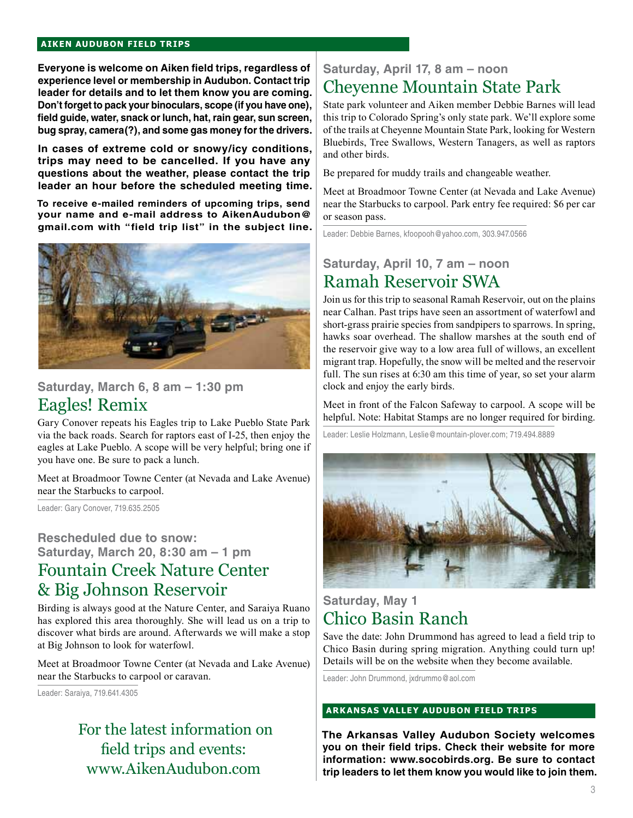#### **aiken audubon FIELD TRIPS**

**Everyone is welcome on Aiken field trips, regardless of experience level or membership in Audubon. Contact trip leader for details and to let them know you are coming. Don't forget to pack your binoculars, scope (if you have one), field guide, water, snack or lunch, hat, rain gear, sun screen, bug spray, camera(?), and some gas money for the drivers.** 

**In cases of extreme cold or snowy/icy conditions, trips may need to be cancelled. If you have any questions about the weather, please contact the trip leader an hour before the scheduled meeting time.**

**To receive e-mailed reminders of upcoming trips, send your name and e-mail address to AikenAudubon@ gmail.com with "field trip list" in the subject line.**



### **Saturday, March 6, 8 am – 1:30 pm** Eagles! Remix

Gary Conover repeats his Eagles trip to Lake Pueblo State Park via the back roads. Search for raptors east of I-25, then enjoy the eagles at Lake Pueblo. A scope will be very helpful; bring one if you have one. Be sure to pack a lunch.

Meet at Broadmoor Towne Center (at Nevada and Lake Avenue) near the Starbucks to carpool.

Leader: Gary Conover, 719.635.2505

### **Rescheduled due to snow: Saturday, March 20, 8:30 am – 1 pm** Fountain Creek Nature Center & Big Johnson Reservoir

Birding is always good at the Nature Center, and Saraiya Ruano has explored this area thoroughly. She will lead us on a trip to discover what birds are around. Afterwards we will make a stop at Big Johnson to look for waterfowl.

Meet at Broadmoor Towne Center (at Nevada and Lake Avenue) near the Starbucks to carpool or caravan.

Leader: Saraiya, 719.641.4305

 For the latest information on field trips and events: www.AikenAudubon.com

### **Saturday, April 17, 8 am – noon** Cheyenne Mountain State Park

State park volunteer and Aiken member Debbie Barnes will lead this trip to Colorado Spring's only state park. We'll explore some of the trails at Cheyenne Mountain State Park, looking for Western Bluebirds, Tree Swallows, Western Tanagers, as well as raptors and other birds.

Be prepared for muddy trails and changeable weather.

Meet at Broadmoor Towne Center (at Nevada and Lake Avenue) near the Starbucks to carpool. Park entry fee required: \$6 per car or season pass.

Leader: Debbie Barnes, kfoopooh@yahoo.com, 303.947.0566

### **Saturday, April 10, 7 am – noon** Ramah Reservoir SWA

Join us for this trip to seasonal Ramah Reservoir, out on the plains near Calhan. Past trips have seen an assortment of waterfowl and short-grass prairie species from sandpipers to sparrows. In spring, hawks soar overhead. The shallow marshes at the south end of the reservoir give way to a low area full of willows, an excellent migrant trap. Hopefully, the snow will be melted and the reservoir full. The sun rises at 6:30 am this time of year, so set your alarm clock and enjoy the early birds.

Meet in front of the Falcon Safeway to carpool. A scope will be helpful. Note: Habitat Stamps are no longer required for birding.

Leader: Leslie Holzmann, Leslie@mountain-plover.com; 719.494.8889



### **Saturday, May 1** Chico Basin Ranch

Save the date: John Drummond has agreed to lead a field trip to Chico Basin during spring migration. Anything could turn up! Details will be on the website when they become available.

Leader: John Drummond, jxdrummo@aol.com

#### **arkansas valley audubon FIELD TRIPs**

**The Arkansas Valley Audubon Society welcomes you on their field trips. Check their website for more information: www.socobirds.org. Be sure to contact trip leaders to let them know you would like to join them.**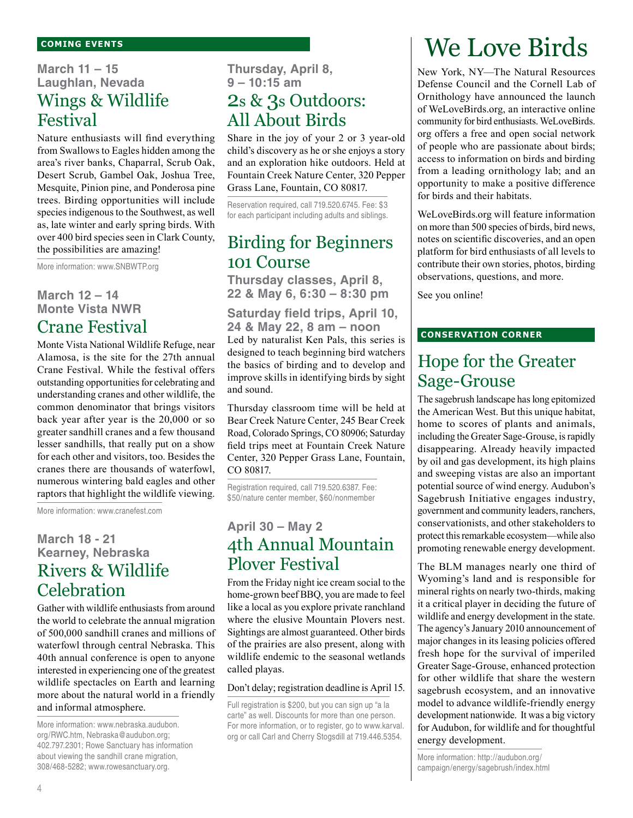### **March 11 – 15 Laughlan, Nevada** Wings & Wildlife Festival

Nature enthusiasts will find everything from Swallows to Eagles hidden among the area's river banks, Chaparral, Scrub Oak, Desert Scrub, Gambel Oak, Joshua Tree, Mesquite, Pinion pine, and Ponderosa pine trees. Birding opportunities will include species indigenous to the Southwest, as well as, late winter and early spring birds. With over 400 bird species seen in Clark County, the possibilities are amazing!

More information: www.SNBWTP.org

### **March 12 – 14 Monte Vista NWR** Crane Festival

Monte Vista National Wildlife Refuge, near Alamosa, is the site for the 27th annual Crane Festival. While the festival offers outstanding opportunities for celebrating and understanding cranes and other wildlife, the common denominator that brings visitors back year after year is the 20,000 or so greater sandhill cranes and a few thousand lesser sandhills, that really put on a show for each other and visitors, too. Besides the cranes there are thousands of waterfowl, numerous wintering bald eagles and other raptors that highlight the wildlife viewing.

More information: www.cranefest.com

### **March 18 - 21 Kearney, Nebraska** Rivers & Wildlife **Celebration**

Gather with wildlife enthusiasts from around the world to celebrate the annual migration of 500,000 sandhill cranes and millions of waterfowl through central Nebraska. This 40th annual conference is open to anyone interested in experiencing one of the greatest wildlife spectacles on Earth and learning more about the natural world in a friendly and informal atmosphere.

More information: www.nebraska.audubon. org/RWC.htm, Nebraska@audubon.org; 402.797.2301; Rowe Sanctuary has information about viewing the sandhill crane migration, 308/468-5282; www.rowesanctuary.org.

**Thursday, April 8, 9 – 10:15 am** 2s & 3s Outdoors: All About Birds

Share in the joy of your 2 or 3 year-old child's discovery as he or she enjoys a story and an exploration hike outdoors. Held at Fountain Creek Nature Center, 320 Pepper Grass Lane, Fountain, CO 80817.

Reservation required, call 719.520.6745. Fee: \$3 for each participant including adults and siblings.

### Birding for Beginners 101 Course

**Thursday classes, April 8, 22 & May 6, 6:30 – 8:30 pm**

**Saturday field trips, April 10, 24 & May 22, 8 am – noon** Led by naturalist Ken Pals, this series is designed to teach beginning bird watchers the basics of birding and to develop and improve skills in identifying birds by sight and sound.

Thursday classroom time will be held at Bear Creek Nature Center, 245 Bear Creek Road, Colorado Springs, CO 80906; Saturday field trips meet at Fountain Creek Nature Center, 320 Pepper Grass Lane, Fountain, CO 80817.

Registration required, call 719.520.6387. Fee: \$50/nature center member, \$60/nonmember

### **April 30 – May 2** 4th Annual Mountain Plover Festival

From the Friday night ice cream social to the home-grown beef BBQ, you are made to feel like a local as you explore private ranchland where the elusive Mountain Plovers nest. Sightings are almost guaranteed. Other birds of the prairies are also present, along with wildlife endemic to the seasonal wetlands called playas.

#### Don't delay; registration deadline is April 15.

Full registration is \$200, but you can sign up "a la carte" as well. Discounts for more than one person. For more information, or to register, go to www.karval. org or call Carl and Cherry Stogsdill at 719.446.5354.

# We Love Birds

New York, NY—The Natural Resources Defense Council and the Cornell Lab of Ornithology have announced the launch of WeLoveBirds.org, an interactive online community for bird enthusiasts. WeLoveBirds. org offers a free and open social network of people who are passionate about birds; access to information on birds and birding from a leading ornithology lab; and an opportunity to make a positive difference for birds and their habitats.

WeLoveBirds.org will feature information on more than 500 species of birds, bird news, notes on scientific discoveries, and an open platform for bird enthusiasts of all levels to contribute their own stories, photos, birding observations, questions, and more.

See you online!

#### **conservation corner**

## Hope for the Greater Sage-Grouse

The sagebrush landscape has long epitomized the American West. But this unique habitat, home to scores of plants and animals, including the Greater Sage-Grouse, is rapidly disappearing. Already heavily impacted by oil and gas development, its high plains and sweeping vistas are also an important potential source of wind energy. Audubon's Sagebrush Initiative engages industry, government and community leaders, ranchers, conservationists, and other stakeholders to protect this remarkable ecosystem—while also promoting renewable energy development.

The BLM manages nearly one third of Wyoming's land and is responsible for mineral rights on nearly two-thirds, making it a critical player in deciding the future of wildlife and energy development in the state. The agency's January 2010 announcement of major changes in its leasing policies offered fresh hope for the survival of imperiled Greater Sage-Grouse, enhanced protection for other wildlife that share the western sagebrush ecosystem, and an innovative model to advance wildlife-friendly energy development nationwide. It was a big victory for Audubon, for wildlife and for thoughtful energy development.

More information: http://audubon.org/ campaign/energy/sagebrush/index.html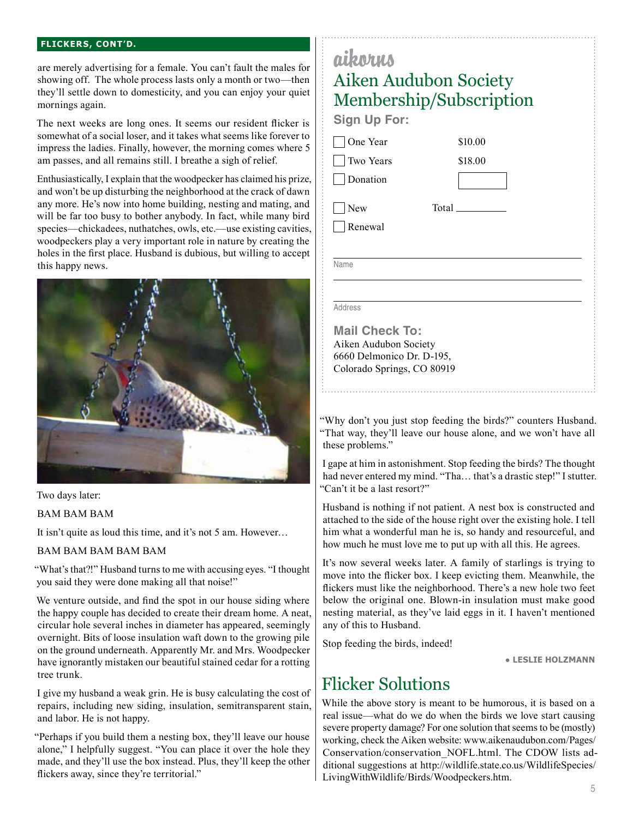#### **flickers, cont'd.**

are merely advertising for a female. You can't fault the males for showing off. The whole process lasts only a month or two—then they'll settle down to domesticity, and you can enjoy your quiet mornings again.

The next weeks are long ones. It seems our resident flicker is somewhat of a social loser, and it takes what seems like forever to impress the ladies. Finally, however, the morning comes where 5 am passes, and all remains still. I breathe a sigh of relief.

Enthusiastically, I explain that the woodpecker has claimed his prize, and won't be up disturbing the neighborhood at the crack of dawn any more. He's now into home building, nesting and mating, and will be far too busy to bother anybody. In fact, while many bird species—chickadees, nuthatches, owls, etc.—use existing cavities, woodpeckers play a very important role in nature by creating the holes in the first place. Husband is dubious, but willing to accept this happy news.



Two days later:

#### BAM BAM BAM

It isn't quite as loud this time, and it's not 5 am. However...

#### BAM BAM BAM BAM BAM

"What's that?!" Husband turns to me with accusing eyes. "I thought you said they were done making all that noise!"

We venture outside, and find the spot in our house siding where the happy couple has decided to create their dream home. A neat, circular hole several inches in diameter has appeared, seemingly overnight. Bits of loose insulation waft down to the growing pile on the ground underneath. Apparently Mr. and Mrs. Woodpecker have ignorantly mistaken our beautiful stained cedar for a rotting tree trunk.

I give my husband a weak grin. He is busy calculating the cost of repairs, including new siding, insulation, semitransparent stain, and labor. He is not happy.

"Perhaps if you build them a nesting box, they'll leave our house alone," I helpfully suggest. "You can place it over the hole they made, and they'll use the box instead. Plus, they'll keep the other flickers away, since they're territorial."

### aikorus Aiken Audubon Society Membership/Subscription **Sign Up For:** One Year \$10.00 Two Years \$18.00 **Donation**  New Total Renewal Name

Address

**Mail Check To:** Aiken Audubon Society 6660 Delmonico Dr. D-195, Colorado Springs, CO 80919

"Why don't you just stop feeding the birds?" counters Husband. "That way, they'll leave our house alone, and we won't have all these problems."

I gape at him in astonishment. Stop feeding the birds? The thought had never entered my mind. "Tha... that's a drastic step!" I stutter. "Can't it be a last resort?"

Husband is nothing if not patient. A nest box is constructed and attached to the side of the house right over the existing hole. I tell him what a wonderful man he is, so handy and resourceful, and how much he must love me to put up with all this. He agrees.

It's now several weeks later. A family of starlings is trying to move into the flicker box. I keep evicting them. Meanwhile, the flickers must like the neighborhood. There's a new hole two feet below the original one. Blown-in insulation must make good nesting material, as they've laid eggs in it. I haven't mentioned any of this to Husband.

Stop feeding the birds, indeed!

● **leslie holzmann**

### Flicker Solutions

While the above story is meant to be humorous, it is based on a real issue—what do we do when the birds we love start causing severe property damage? For one solution that seems to be (mostly) working, check the Aiken website: www.aikenaudubon.com/Pages/ Conservation/conservation\_NOFL.html. The CDOW lists additional suggestions at http://wildlife.state.co.us/WildlifeSpecies/ LivingWithWildlife/Birds/Woodpeckers.htm.